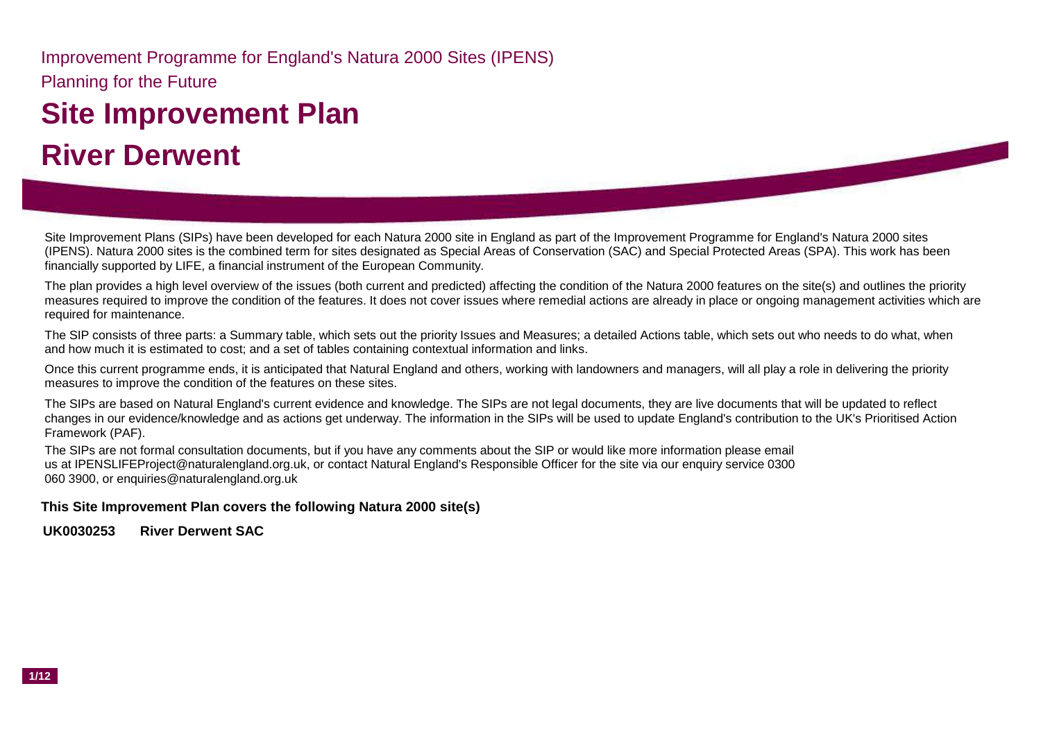Planning for the Future Improvement Programme for England's Natura 2000 Sites (IPENS)

# **Site Improvement Plan River Derwent**

Site Improvement Plans (SIPs) have been developed for each Natura 2000 site in England as part of the Improvement Programme for England's Natura 2000 sites (IPENS). Natura 2000 sites is the combined term for sites designated as Special Areas of Conservation (SAC) and Special Protected Areas (SPA). This work has been financially supported by LIFE, a financial instrument of the European Community.

The plan provides a high level overview of the issues (both current and predicted) affecting the condition of the Natura 2000 features on the site(s) and outlines the priority measures required to improve the condition of the features. It does not cover issues where remedial actions are already in place or ongoing management activities which are required for maintenance.

The SIP consists of three parts: a Summary table, which sets out the priority Issues and Measures; a detailed Actions table, which sets out who needs to do what, when and how much it is estimated to cost; and a set of tables containing contextual information and links.

Once this current programme ends, it is anticipated that Natural England and others, working with landowners and managers, will all play a role in delivering the priority measures to improve the condition of the features on these sites.

The SIPs are based on Natural England's current evidence and knowledge. The SIPs are not legal documents, they are live documents that will be updated to reflect changes in our evidence/knowledge and as actions get underway. The information in the SIPs will be used to update England's contribution to the UK's Prioritised Action Framework (PAF).

The SIPs are not formal consultation documents, but if you have any comments about the SIP or would like more information please email us at IPENSLIFEProject@naturalengland.org.uk, or contact Natural England's Responsible Officer for the site via our enquiry service 0300 060 3900, or enquiries@naturalengland.org.uk

#### **This Site Improvement Plan covers the following Natura 2000 site(s)**

**UK0030253 River Derwent SAC**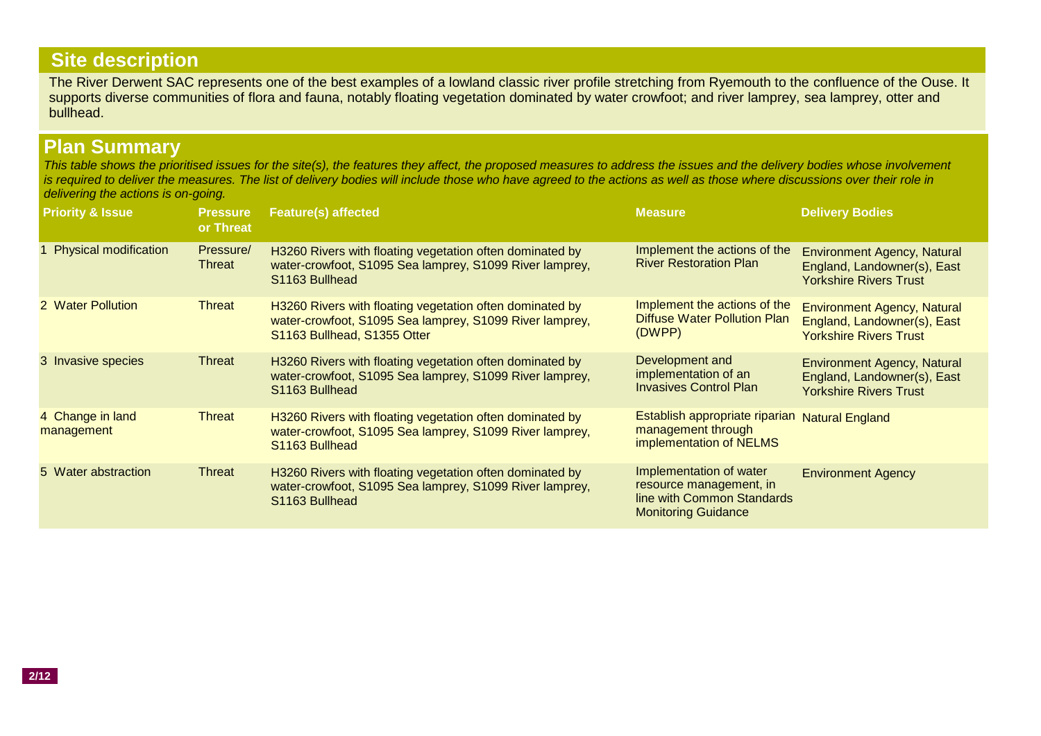# **Site description**

The River Derwent SAC represents one of the best examples of a lowland classic river profile stretching from Ryemouth to the confluence of the Ouse. It supports diverse communities of flora and fauna, notably floating vegetation dominated by water crowfoot; and river lamprey, sea lamprey, otter and bullhead.

## **Plan Summary**

*This table shows the prioritised issues for the site(s), the features they affect, the proposed measures to address the issues and the delivery bodies whose involvement is required to deliver the measures. The list of delivery bodies will include those who have agreed to the actions as well as those where discussions over their role in delivering the actions is on-going.*

| <b>Priority &amp; Issue</b>    | <b>Pressure</b><br>or Threat | <b>Feature(s) affected</b>                                                                                                                         | <b>Measure</b>                                                                                                 | <b>Delivery Bodies</b>                                                                             |
|--------------------------------|------------------------------|----------------------------------------------------------------------------------------------------------------------------------------------------|----------------------------------------------------------------------------------------------------------------|----------------------------------------------------------------------------------------------------|
| <b>Physical modification</b>   | Pressure/<br><b>Threat</b>   | H3260 Rivers with floating vegetation often dominated by<br>water-crowfoot, S1095 Sea lamprey, S1099 River lamprey,<br>S1163 Bullhead              | Implement the actions of the<br><b>River Restoration Plan</b>                                                  | <b>Environment Agency, Natural</b><br>England, Landowner(s), East<br><b>Yorkshire Rivers Trust</b> |
| 2 Water Pollution              | Threat                       | H3260 Rivers with floating vegetation often dominated by<br>water-crowfoot, S1095 Sea lamprey, S1099 River lamprey,<br>S1163 Bullhead, S1355 Otter | Implement the actions of the<br><b>Diffuse Water Pollution Plan</b><br>(DWPP)                                  | <b>Environment Agency, Natural</b><br>England, Landowner(s), East<br><b>Yorkshire Rivers Trust</b> |
| 3 Invasive species             | Threat                       | H3260 Rivers with floating vegetation often dominated by<br>water-crowfoot, S1095 Sea lamprey, S1099 River lamprey,<br>S1163 Bullhead              | Development and<br>implementation of an<br><b>Invasives Control Plan</b>                                       | <b>Environment Agency, Natural</b><br>England, Landowner(s), East<br><b>Yorkshire Rivers Trust</b> |
| 4 Change in land<br>management | <b>Threat</b>                | H3260 Rivers with floating vegetation often dominated by<br>water-crowfoot, S1095 Sea lamprey, S1099 River lamprey,<br>S1163 Bullhead              | Establish appropriate riparian<br>management through<br>implementation of NELMS                                | <b>Natural England</b>                                                                             |
| 5 Water abstraction            | Threat                       | H3260 Rivers with floating vegetation often dominated by<br>water-crowfoot, S1095 Sea lamprey, S1099 River lamprey,<br>S1163 Bullhead              | Implementation of water<br>resource management, in<br>line with Common Standards<br><b>Monitoring Guidance</b> | <b>Environment Agency</b>                                                                          |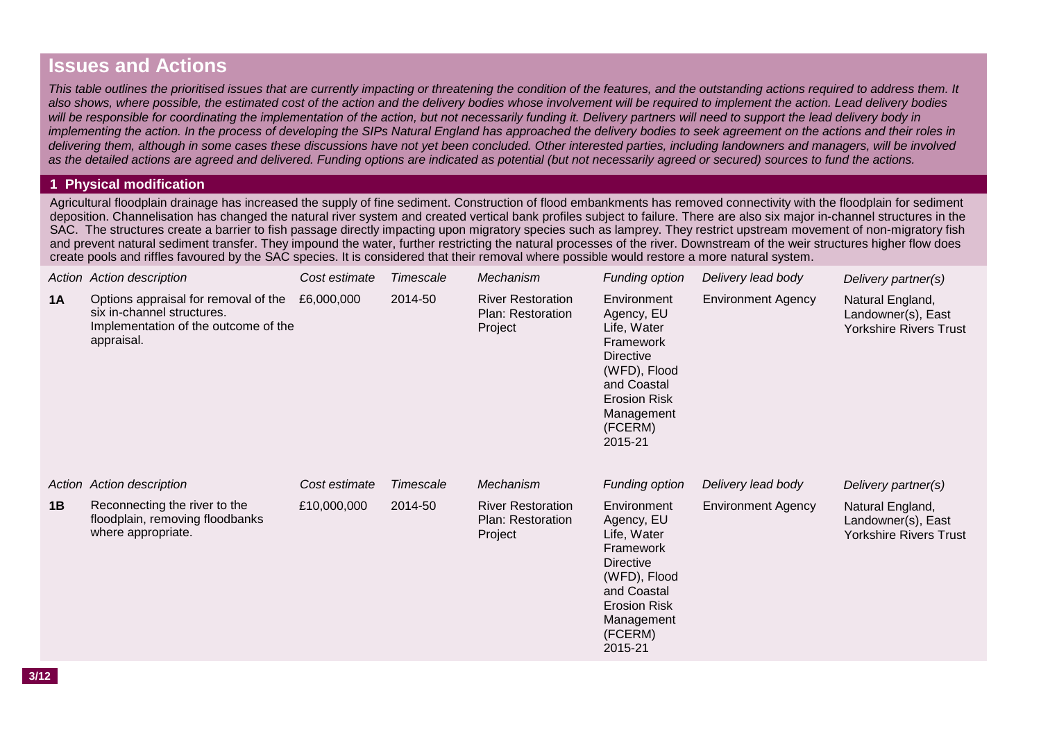### **Issues and Actions**

*This table outlines the prioritised issues that are currently impacting or threatening the condition of the features, and the outstanding actions required to address them. It*  also shows, where possible, the estimated cost of the action and the delivery bodies whose involvement will be required to implement the action. Lead delivery bodies will be responsible for coordinating the implementation of the action, but not necessarily funding it. Delivery partners will need to support the lead delivery body in *implementing the action. In the process of developing the SIPs Natural England has approached the delivery bodies to seek agreement on the actions and their roles in delivering them, although in some cases these discussions have not yet been concluded. Other interested parties, including landowners and managers, will be involved as the detailed actions are agreed and delivered. Funding options are indicated as potential (but not necessarily agreed or secured) sources to fund the actions.*

#### **1 Physical modification**

Agricultural floodplain drainage has increased the supply of fine sediment. Construction of flood embankments has removed connectivity with the floodplain for sediment deposition. Channelisation has changed the natural river system and created vertical bank profiles subject to failure. There are also six major in-channel structures in the SAC. The structures create a barrier to fish passage directly impacting upon migratory species such as lamprey. They restrict upstream movement of non-migratory fish and prevent natural sediment transfer. They impound the water, further restricting the natural processes of the river. Downstream of the weir structures higher flow does create pools and riffles favoured by the SAC species. It is considered that their removal where possible would restore a more natural system.

|    | Action Action description                                                                                                | Cost estimate | Timescale | Mechanism                                                | Funding option                                                                                                                                                      | Delivery lead body        | Delivery partner(s)                                                     |
|----|--------------------------------------------------------------------------------------------------------------------------|---------------|-----------|----------------------------------------------------------|---------------------------------------------------------------------------------------------------------------------------------------------------------------------|---------------------------|-------------------------------------------------------------------------|
| 1A | Options appraisal for removal of the<br>six in-channel structures.<br>Implementation of the outcome of the<br>appraisal. | £6,000,000    | 2014-50   | <b>River Restoration</b><br>Plan: Restoration<br>Project | Environment<br>Agency, EU<br>Life, Water<br>Framework<br><b>Directive</b><br>(WFD), Flood<br>and Coastal<br><b>Erosion Risk</b><br>Management<br>(FCERM)<br>2015-21 | <b>Environment Agency</b> | Natural England,<br>Landowner(s), East<br><b>Yorkshire Rivers Trust</b> |
|    | Action Action description                                                                                                | Cost estimate | Timescale | Mechanism                                                | Funding option                                                                                                                                                      | Delivery lead body        | Delivery partner(s)                                                     |
| 1B | Reconnecting the river to the<br>floodplain, removing floodbanks<br>where appropriate.                                   | £10,000,000   | 2014-50   | <b>River Restoration</b><br>Plan: Restoration<br>Project | Environment<br>Agency, EU<br>Life, Water<br>Framework<br><b>Directive</b><br>(WFD), Flood<br>and Coastal<br><b>Erosion Risk</b><br>Management<br>(FCERM)<br>2015-21 | <b>Environment Agency</b> | Natural England,<br>Landowner(s), East<br><b>Yorkshire Rivers Trust</b> |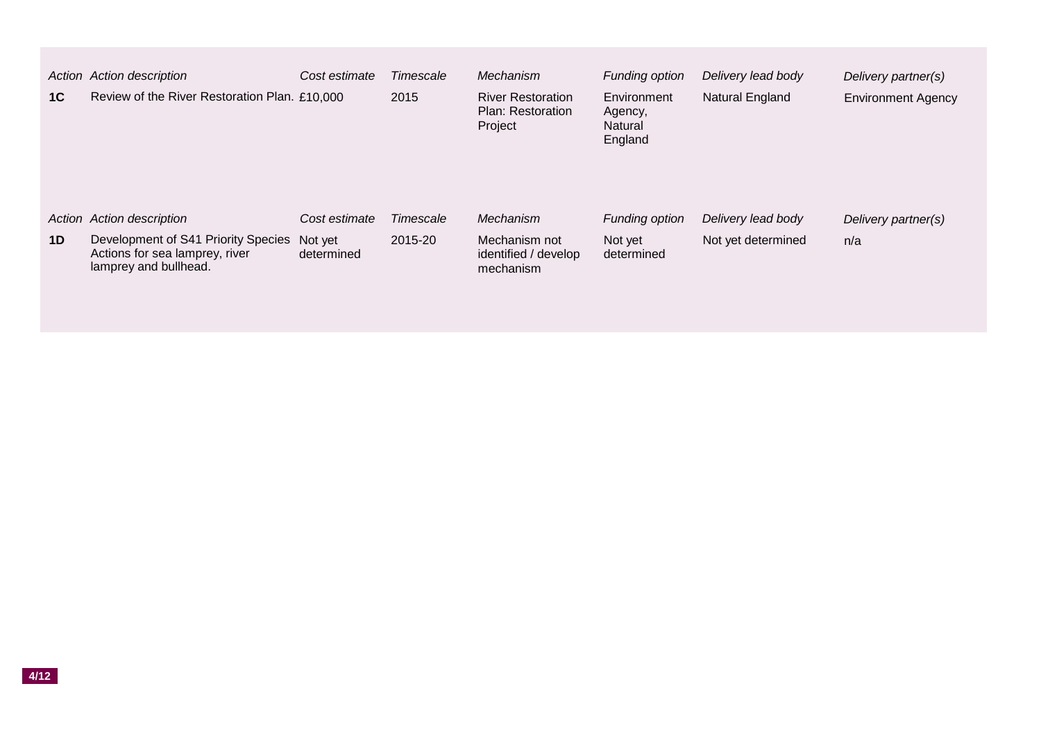| 1 <sup>C</sup> | Action Action description<br>Review of the River Restoration Plan. £10,000                                                  | Cost estimate                          | Timescale<br>2015    | Mechanism<br><b>River Restoration</b><br>Plan: Restoration<br>Project | <b>Funding option</b><br>Environment<br>Agency,<br>Natural<br>England | Delivery lead body<br>Natural England    | Delivery partner(s)<br><b>Environment Agency</b> |
|----------------|-----------------------------------------------------------------------------------------------------------------------------|----------------------------------------|----------------------|-----------------------------------------------------------------------|-----------------------------------------------------------------------|------------------------------------------|--------------------------------------------------|
| 1 <sub>D</sub> | Action Action description<br>Development of S41 Priority Species<br>Actions for sea lamprey, river<br>lamprey and bullhead. | Cost estimate<br>Not yet<br>determined | Timescale<br>2015-20 | Mechanism<br>Mechanism not<br>identified / develop<br>mechanism       | <b>Funding option</b><br>Not yet<br>determined                        | Delivery lead body<br>Not yet determined | Delivery partner(s)<br>n/a                       |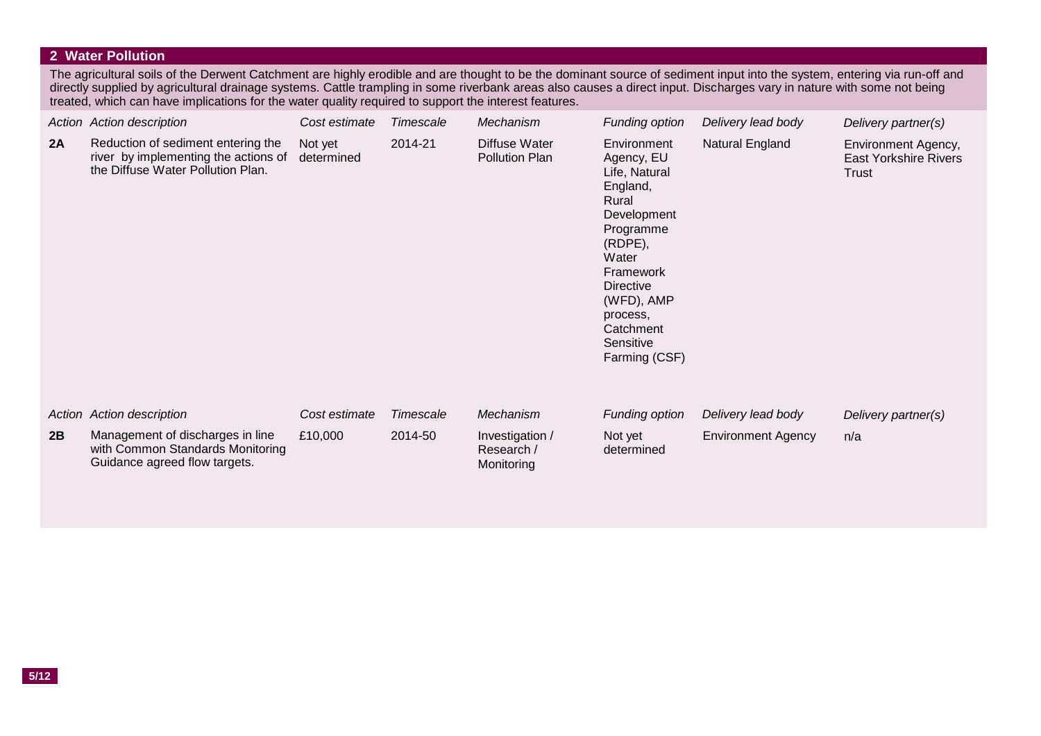#### **2 Water Pollution**

The agricultural soils of the Derwent Catchment are highly erodible and are thought to be the dominant source of sediment input into the system, entering via run-off and directly supplied by agricultural drainage systems. Cattle trampling in some riverbank areas also causes a direct input. Discharges vary in nature with some not being treated, which can have implications for the water quality required to support the interest features.

|    | Action Action description                                                                                       | Cost estimate         | Timescale | Mechanism                                   | <b>Funding option</b>                                                                                                                                                                                                 | Delivery lead body        | Delivery partner(s)                                          |
|----|-----------------------------------------------------------------------------------------------------------------|-----------------------|-----------|---------------------------------------------|-----------------------------------------------------------------------------------------------------------------------------------------------------------------------------------------------------------------------|---------------------------|--------------------------------------------------------------|
| 2A | Reduction of sediment entering the<br>river by implementing the actions of<br>the Diffuse Water Pollution Plan. | Not yet<br>determined | 2014-21   | Diffuse Water<br><b>Pollution Plan</b>      | Environment<br>Agency, EU<br>Life, Natural<br>England,<br>Rural<br>Development<br>Programme<br>(RDPE),<br>Water<br>Framework<br><b>Directive</b><br>(WFD), AMP<br>process,<br>Catchment<br>Sensitive<br>Farming (CSF) | Natural England           | Environment Agency,<br><b>East Yorkshire Rivers</b><br>Trust |
|    | Action Action description                                                                                       | Cost estimate         | Timescale | Mechanism                                   | Funding option                                                                                                                                                                                                        | Delivery lead body        | Delivery partner(s)                                          |
| 2B | Management of discharges in line<br>with Common Standards Monitoring<br>Guidance agreed flow targets.           | £10,000               | 2014-50   | Investigation /<br>Research /<br>Monitoring | Not yet<br>determined                                                                                                                                                                                                 | <b>Environment Agency</b> | n/a                                                          |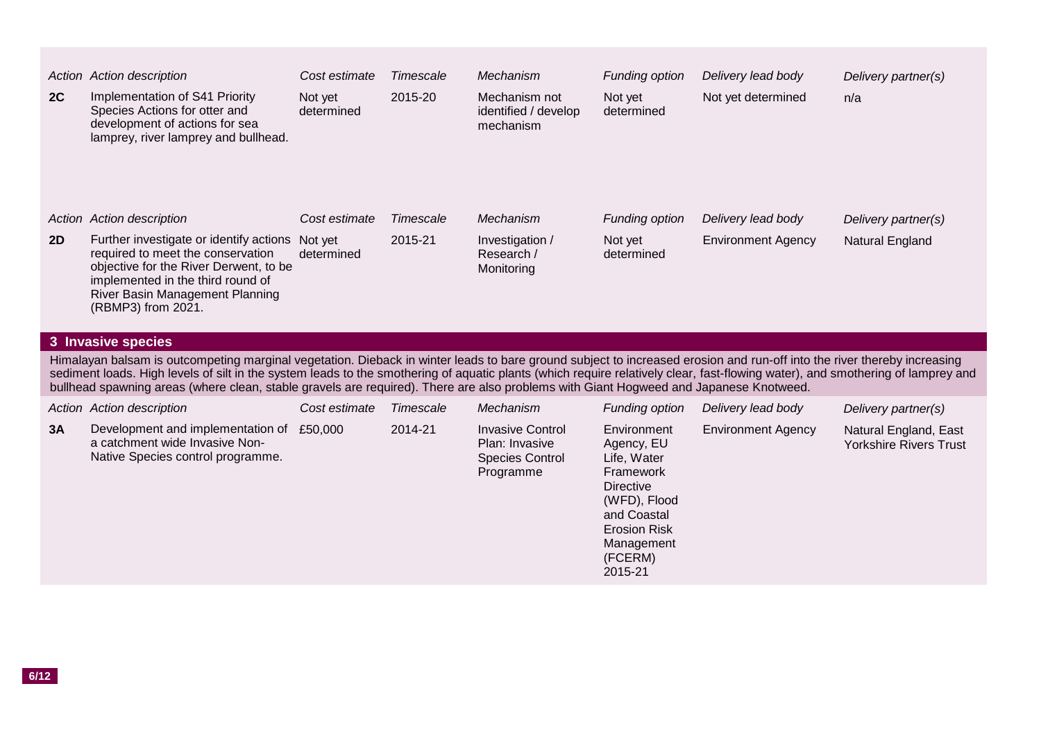|    | Action Action description                                                                                                                                                                                                                                                                                                                                                                                                                                                                           | Cost estimate         | Timescale | Mechanism                                                                        | <b>Funding option</b>                                                                                    | Delivery lead body        | Delivery partner(s)                                    |
|----|-----------------------------------------------------------------------------------------------------------------------------------------------------------------------------------------------------------------------------------------------------------------------------------------------------------------------------------------------------------------------------------------------------------------------------------------------------------------------------------------------------|-----------------------|-----------|----------------------------------------------------------------------------------|----------------------------------------------------------------------------------------------------------|---------------------------|--------------------------------------------------------|
| 2C | Implementation of S41 Priority<br>Species Actions for otter and<br>development of actions for sea<br>lamprey, river lamprey and bullhead.                                                                                                                                                                                                                                                                                                                                                           | Not yet<br>determined | 2015-20   | Mechanism not<br>identified / develop<br>mechanism                               | Not yet<br>determined                                                                                    | Not yet determined        | n/a                                                    |
|    | Action Action description                                                                                                                                                                                                                                                                                                                                                                                                                                                                           | Cost estimate         | Timescale | Mechanism                                                                        | <b>Funding option</b>                                                                                    | Delivery lead body        | Delivery partner(s)                                    |
| 2D | Further investigate or identify actions<br>required to meet the conservation<br>objective for the River Derwent, to be<br>implemented in the third round of<br>River Basin Management Planning<br>(RBMP3) from 2021.                                                                                                                                                                                                                                                                                | Not yet<br>determined | 2015-21   | Investigation /<br>Research /<br>Monitoring                                      | Not yet<br>determined                                                                                    | <b>Environment Agency</b> | Natural England                                        |
|    | 3 Invasive species                                                                                                                                                                                                                                                                                                                                                                                                                                                                                  |                       |           |                                                                                  |                                                                                                          |                           |                                                        |
|    | Himalayan balsam is outcompeting marginal vegetation. Dieback in winter leads to bare ground subject to increased erosion and run-off into the river thereby increasing<br>sediment loads. High levels of silt in the system leads to the smothering of aquatic plants (which require relatively clear, fast-flowing water), and smothering of lamprey and<br>bullhead spawning areas (where clean, stable gravels are required). There are also problems with Giant Hogweed and Japanese Knotweed. |                       |           |                                                                                  |                                                                                                          |                           |                                                        |
|    | Action Action description                                                                                                                                                                                                                                                                                                                                                                                                                                                                           | Cost estimate         | Timescale | Mechanism                                                                        | Funding option                                                                                           | Delivery lead body        | Delivery partner(s)                                    |
| 3A | Development and implementation of<br>a catchment wide Invasive Non-<br>Native Species control programme.                                                                                                                                                                                                                                                                                                                                                                                            | £50,000               | 2014-21   | <b>Invasive Control</b><br>Plan: Invasive<br><b>Species Control</b><br>Programme | Environment<br>Agency, EU<br>Life, Water<br>Framework<br><b>Directive</b><br>(WFD), Flood<br>and Coastal | <b>Environment Agency</b> | Natural England, East<br><b>Yorkshire Rivers Trust</b> |

Erosion Risk Management (FCERM) 2015-21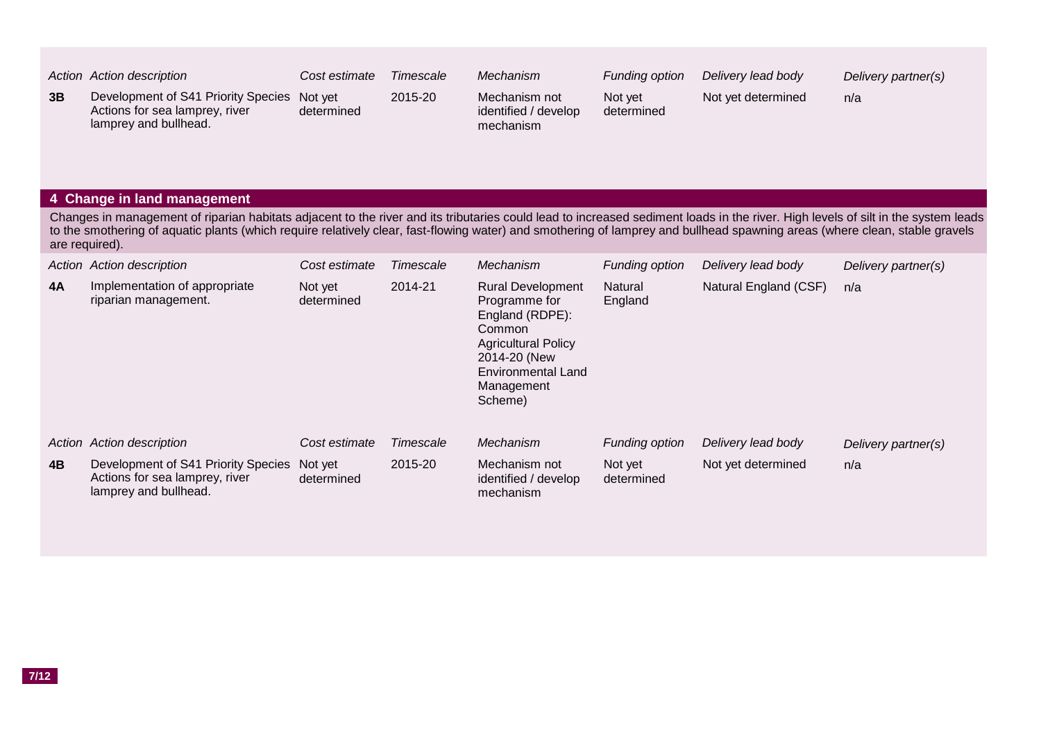|    | Action Action description                                                                      | Cost estimate         | Timescale | Mechanism                                          | Funding option        | Delivery lead body | Delivery partner(s) |
|----|------------------------------------------------------------------------------------------------|-----------------------|-----------|----------------------------------------------------|-----------------------|--------------------|---------------------|
| 3B | Development of S41 Priority Species<br>Actions for sea lamprey, river<br>lamprey and bullhead. | Not vet<br>determined | 2015-20   | Mechanism not<br>identified / develop<br>mechanism | Not yet<br>determined | Not yet determined | n/a                 |

#### **4 Change in land management**

Changes in management of riparian habitats adjacent to the river and its tributaries could lead to increased sediment loads in the river. High levels of silt in the system leads to the smothering of aquatic plants (which require relatively clear, fast-flowing water) and smothering of lamprey and bullhead spawning areas (where clean, stable gravels are required).

|           | Action Action description                                                                      | Cost estimate         | Timescale | Mechanism                                                                                                                                                                  | Funding option        | Delivery lead body    | Delivery partner(s) |
|-----------|------------------------------------------------------------------------------------------------|-----------------------|-----------|----------------------------------------------------------------------------------------------------------------------------------------------------------------------------|-----------------------|-----------------------|---------------------|
| <b>4A</b> | Implementation of appropriate<br>riparian management.                                          | Not yet<br>determined | 2014-21   | <b>Rural Development</b><br>Programme for<br>England (RDPE):<br>Common<br><b>Agricultural Policy</b><br>2014-20 (New<br><b>Environmental Land</b><br>Management<br>Scheme) | Natural<br>England    | Natural England (CSF) | n/a                 |
|           | Action Action description                                                                      | Cost estimate         | Timescale | Mechanism                                                                                                                                                                  | Funding option        | Delivery lead body    | Delivery partner(s) |
| 4B        | Development of S41 Priority Species<br>Actions for sea lamprey, river<br>lamprey and bullhead. | Not yet<br>determined | 2015-20   | Mechanism not<br>identified / develop<br>mechanism                                                                                                                         | Not yet<br>determined | Not yet determined    | n/a                 |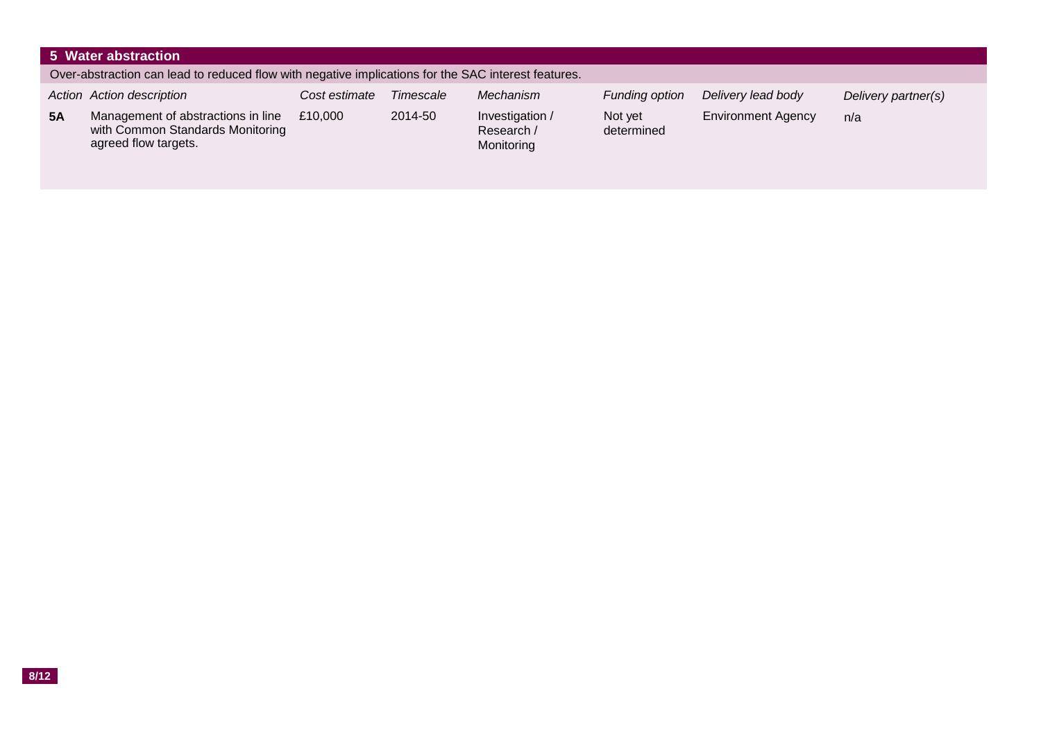|           | 5 Water abstraction                                                                                 |               |           |                                             |                       |                           |                     |  |  |
|-----------|-----------------------------------------------------------------------------------------------------|---------------|-----------|---------------------------------------------|-----------------------|---------------------------|---------------------|--|--|
|           | Over-abstraction can lead to reduced flow with negative implications for the SAC interest features. |               |           |                                             |                       |                           |                     |  |  |
|           | Action Action description                                                                           | Cost estimate | Timescale | Mechanism                                   | Funding option        | Delivery lead body        | Delivery partner(s) |  |  |
| <b>5A</b> | Management of abstractions in line<br>with Common Standards Monitoring<br>agreed flow targets.      | £10,000       | 2014-50   | Investigation /<br>Research /<br>Monitoring | Not yet<br>determined | <b>Environment Agency</b> | n/a                 |  |  |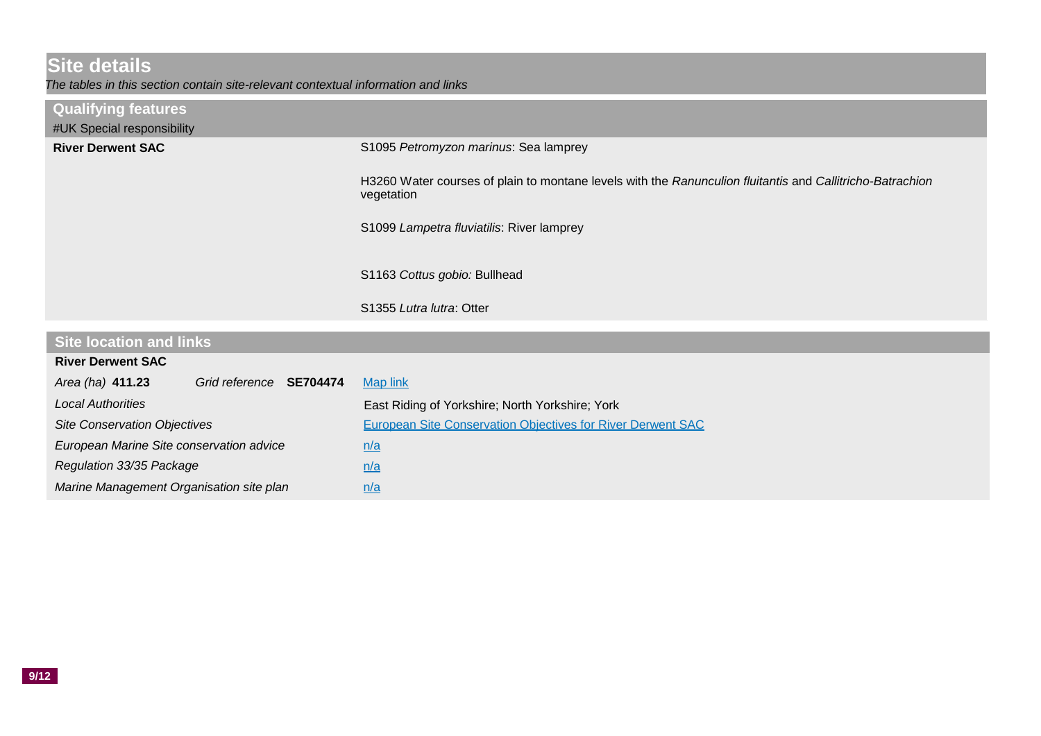# **Site details**

*The tables in this section contain site-relevant contextual information and links*

| <b>Qualifying features</b><br>#UK Special responsibility |                                                                                                                         |
|----------------------------------------------------------|-------------------------------------------------------------------------------------------------------------------------|
| <b>River Derwent SAC</b>                                 | S1095 Petromyzon marinus: Sea lamprey                                                                                   |
|                                                          | H3260 Water courses of plain to montane levels with the Ranunculion fluitantis and Callitricho-Batrachion<br>vegetation |
|                                                          | S1099 Lampetra fluviatilis: River lamprey                                                                               |
|                                                          | S1163 Cottus gobio: Bullhead                                                                                            |
|                                                          | S1355 Lutra lutra: Otter                                                                                                |
| <b>Site location and links</b>                           |                                                                                                                         |
|                                                          |                                                                                                                         |
| <b>River Derwent SAC</b>                                 |                                                                                                                         |
| $Area(ha)$ $A11$ 23<br>Grid reference SE704474           | Man link                                                                                                                |

| Area (ha) 411.23<br>Grid reference SE704474 | <b>Map link</b>                                                    |
|---------------------------------------------|--------------------------------------------------------------------|
| <b>Local Authorities</b>                    | East Riding of Yorkshire; North Yorkshire; York                    |
| <b>Site Conservation Objectives</b>         | <b>European Site Conservation Objectives for River Derwent SAC</b> |
| European Marine Site conservation advice    | n/a                                                                |
| Regulation 33/35 Package                    | n/a                                                                |
| Marine Management Organisation site plan    | n/a                                                                |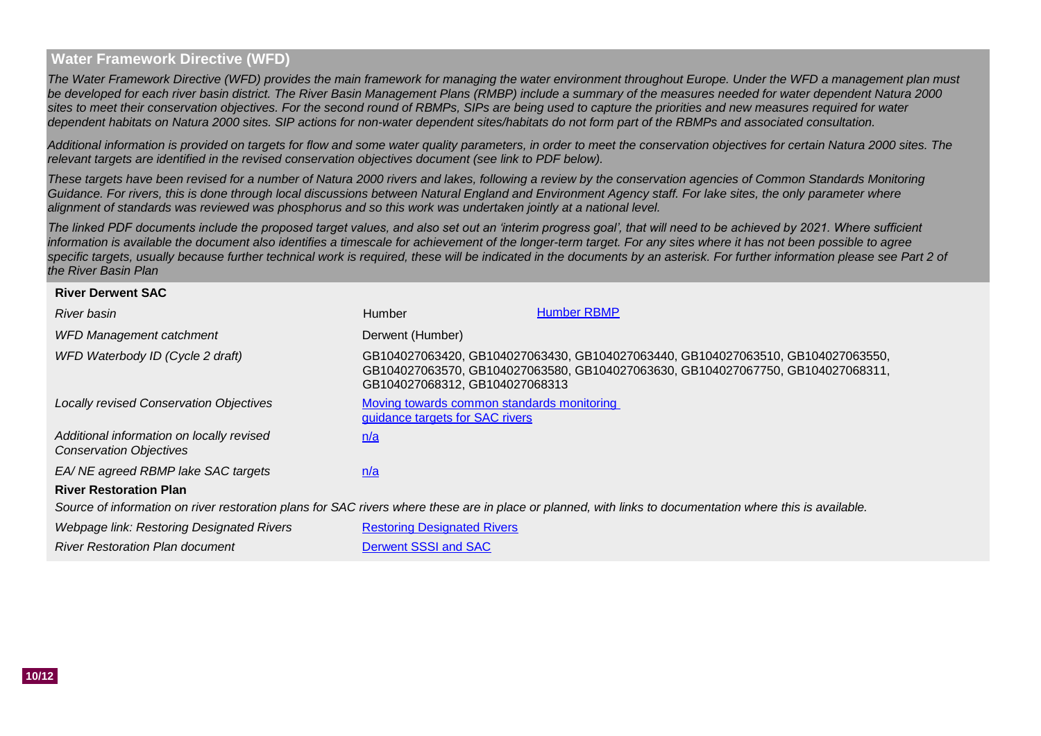#### **Water Framework Directive (WFD)**

*The Water Framework Directive (WFD) provides the main framework for managing the water environment throughout Europe. Under the WFD a management plan must be developed for each river basin district. The River Basin Management Plans (RMBP) include a summary of the measures needed for water dependent Natura 2000 sites to meet their conservation objectives. For the second round of RBMPs, SIPs are being used to capture the priorities and new measures required for water dependent habitats on Natura 2000 sites. SIP actions for non-water dependent sites/habitats do not form part of the RBMPs and associated consultation.*

*Additional information is provided on targets for flow and some water quality parameters, in order to meet the conservation objectives for certain Natura 2000 sites. The relevant targets are identified in the revised conservation objectives document (see link to PDF below).*

*These targets have been revised for a number of Natura 2000 rivers and lakes, following a review by the conservation agencies of Common Standards Monitoring*  Guidance. For rivers, this is done through local discussions between Natural England and Environment Agency staff. For lake sites, the only parameter where *alignment of standards was reviewed was phosphorus and so this work was undertaken jointly at a national level.* 

*The linked PDF documents include the proposed target values, and also set out an 'interim progress goal', that will need to be achieved by 2021. Where sufficient information is available the document also identifies a timescale for achievement of the longer-term target. For any sites where it has not been possible to agree* specific targets, usually because further technical work is required, these will be indicated in the documents by an asterisk. For further information please see Part 2 of *the River Basin Plan*

#### **River Derwent SAC**

| River basin                                                                 | Humber                                                                        | <b>Humber RBMP</b>                                                                                                                                                 |
|-----------------------------------------------------------------------------|-------------------------------------------------------------------------------|--------------------------------------------------------------------------------------------------------------------------------------------------------------------|
| <b>WFD Management catchment</b>                                             | Derwent (Humber)                                                              |                                                                                                                                                                    |
| WFD Waterbody ID (Cycle 2 draft)                                            | GB104027068312, GB104027068313                                                | GB104027063420, GB104027063430, GB104027063440, GB104027063510, GB104027063550,<br>GB104027063570, GB104027063580, GB104027063630, GB104027067750, GB104027068311, |
| <b>Locally revised Conservation Objectives</b>                              | Moving towards common standards monitoring<br>guidance targets for SAC rivers |                                                                                                                                                                    |
| Additional information on locally revised<br><b>Conservation Objectives</b> | n/a                                                                           |                                                                                                                                                                    |
| EA/ NE agreed RBMP lake SAC targets                                         | n/a                                                                           |                                                                                                                                                                    |
| <b>River Restoration Plan</b>                                               |                                                                               |                                                                                                                                                                    |
|                                                                             |                                                                               | Source of information on river restoration plans for SAC rivers where these are in place or planned, with links to documentation where this is available.          |
| <i><u> Mohnago link: Postoring Dosignatod Pivors</u></i>                    | <b>Doctoring Docianated Divorcing</b>                                         |                                                                                                                                                                    |

[Restoring Designated Rivers](http://www.therrc.co.uk/rrc_designated.php) [Derwent SSSI and SAC](http://www.therrc.co.uk/DesignatedRivers/Proformas/Derwent_Y.pdf) *Webpage link: Restoring Designated Rivers River Restoration Plan document*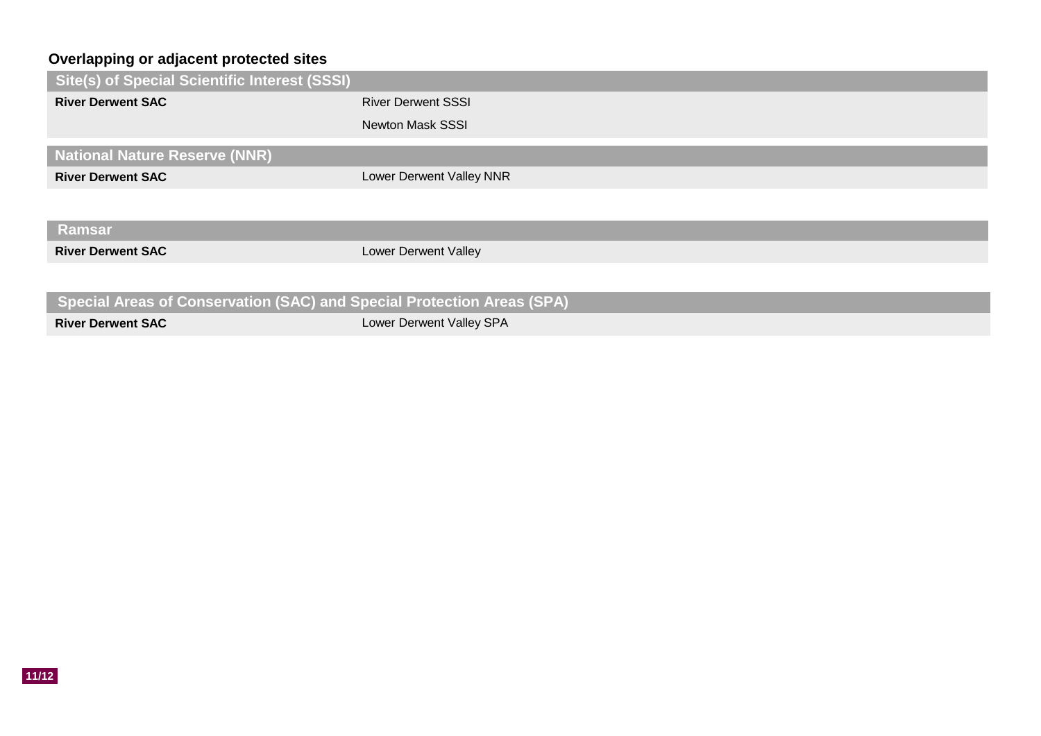## **Overlapping or adjacent protected sites**

| Site(s) of Special Scientific Interest (SSSI)                          |                           |
|------------------------------------------------------------------------|---------------------------|
| <b>River Derwent SAC</b>                                               | <b>River Derwent SSSI</b> |
|                                                                        | <b>Newton Mask SSSI</b>   |
| <b>National Nature Reserve (NNR)</b>                                   |                           |
| <b>River Derwent SAC</b>                                               | Lower Derwent Valley NNR  |
|                                                                        |                           |
| <b>Ramsar</b>                                                          |                           |
| <b>River Derwent SAC</b>                                               | Lower Derwent Valley      |
|                                                                        |                           |
| Special Areas of Conservation (SAC) and Special Protection Areas (SPA) |                           |
| <b>River Derwent SAC</b>                                               | Lower Derwent Valley SPA  |